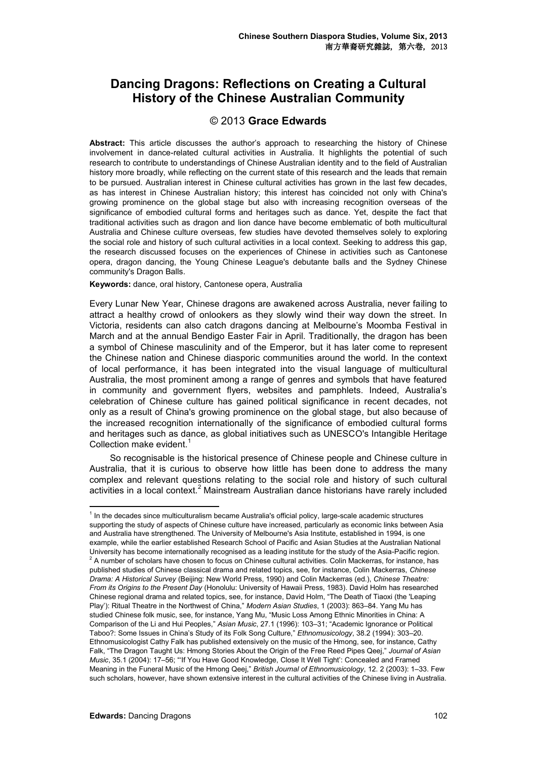## **Dancing Dragons: Reflections on Creating a Cultural History of the Chinese Australian Community**

## © 2013 **Grace Edwards**

Abstract: This article discusses the author's approach to researching the history of Chinese involvement in dance-related cultural activities in Australia. It highlights the potential of such research to contribute to understandings of Chinese Australian identity and to the field of Australian history more broadly, while reflecting on the current state of this research and the leads that remain to be pursued. Australian interest in Chinese cultural activities has grown in the last few decades, as has interest in Chinese Australian history; this interest has coincided not only with China's growing prominence on the global stage but also with increasing recognition overseas of the significance of embodied cultural forms and heritages such as dance. Yet, despite the fact that traditional activities such as dragon and lion dance have become emblematic of both multicultural Australia and Chinese culture overseas, few studies have devoted themselves solely to exploring the social role and history of such cultural activities in a local context. Seeking to address this gap, the research discussed focuses on the experiences of Chinese in activities such as Cantonese opera, dragon dancing, the Young Chinese League's debutante balls and the Sydney Chinese community's Dragon Balls.

## **Keywords:** dance, oral history, Cantonese opera, Australia

Every Lunar New Year, Chinese dragons are awakened across Australia, never failing to attract a healthy crowd of onlookers as they slowly wind their way down the street. In Victoria, residents can also catch dragons dancing at Melbourne's Moomba Festival in March and at the annual Bendigo Easter Fair in April. Traditionally, the dragon has been a symbol of Chinese masculinity and of the Emperor, but it has later come to represent the Chinese nation and Chinese diasporic communities around the world. In the context of local performance, it has been integrated into the visual language of multicultural Australia, the most prominent among a range of genres and symbols that have featured in community and government flyers, websites and pamphlets. Indeed, Australia's celebration of Chinese culture has gained political significance in recent decades, not only as a result of China's growing prominence on the global stage, but also because of the increased recognition internationally of the significance of embodied cultural forms and heritages such as dance, as global initiatives such as UNESCO's Intangible Heritage Collection make evident.<sup>1</sup>

So recognisable is the historical presence of Chinese people and Chinese culture in Australia, that it is curious to observe how little has been done to address the many complex and relevant questions relating to the social role and history of such cultural activities in a local context.<sup>2</sup> Mainstream Australian dance historians have rarely included

 $\overline{a}$ 

<sup>&</sup>lt;sup>1</sup> In the decades since multiculturalism became Australia's official policy, large-scale academic structures supporting the study of aspects of Chinese culture have increased, particularly as economic links between Asia and Australia have strengthened. The University of Melbourne's Asia Institute, established in 1994, is one example, while the earlier established Research School of Pacific and Asian Studies at the Australian National University has become internationally recognised as a leading institute for the study of the Asia-Pacific region. 2 A number of scholars have chosen to focus on Chinese cultural activities. Colin Mackerras, for instance, has published studies of Chinese classical drama and related topics, see, for instance, Colin Mackerras, *Chinese Drama: A Historical Survey* (Beijing: New World Press, 1990) and Colin Mackerras (ed.), *Chinese Theatre: From its Origins to the Present Day* (Honolulu: University of Hawaii Press, 1983). David Holm has researched Chinese regional drama and related topics, see, for instance, David Holm, "The Death of Tiaoxi (the 'Leaping Play'): Ritual Theatre in the Northwest of China," *Modern Asian Studies*, 1 (2003): 863–84. Yang Mu has studied Chinese folk music, see, for instance, Yang Mu, "Music Loss Among Ethnic Minorities in China: A Comparison of the Li and Hui Peoples," *Asian Music*, 27.1 (1996): 103–31; "Academic Ignorance or Political Taboo?: Some Issues in China's Study of its Folk Song Culture," *Ethnomusicology*, 38.2 (1994): 303–20. Ethnomusicologist Cathy Falk has published extensively on the music of the Hmong, see, for instance, Cathy Falk, "The Dragon Taught Us: Hmong Stories About the Origin of the Free Reed Pipes Qeej," *Journal of Asian Music*, 35.1 (2004): 17–56; "'If You Have Good Knowledge, Close It Well Tight': Concealed and Framed Meaning in the Funeral Music of the Hmong Qeej," *British Journal of Ethnomusicology*, 12. 2 (2003): 1–33. Few such scholars, however, have shown extensive interest in the cultural activities of the Chinese living in Australia.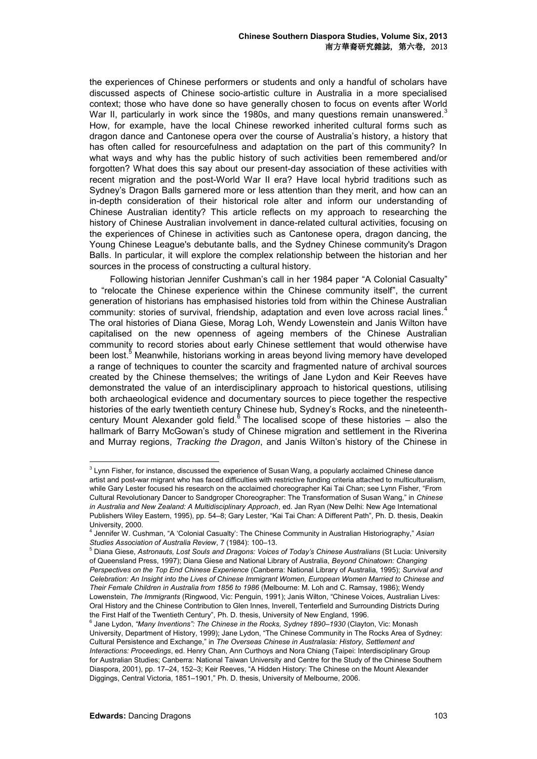the experiences of Chinese performers or students and only a handful of scholars have discussed aspects of Chinese socio-artistic culture in Australia in a more specialised context; those who have done so have generally chosen to focus on events after World War II, particularly in work since the 1980s, and many questions remain unanswered.<sup>3</sup> How, for example, have the local Chinese reworked inherited cultural forms such as dragon dance and Cantonese opera over the course of Australia's history, a history that has often called for resourcefulness and adaptation on the part of this community? In what ways and why has the public history of such activities been remembered and/or forgotten? What does this say about our present-day association of these activities with recent migration and the post-World War II era? Have local hybrid traditions such as Sydney's Dragon Balls garnered more or less attention than they merit, and how can an in-depth consideration of their historical role alter and inform our understanding of Chinese Australian identity? This article reflects on my approach to researching the history of Chinese Australian involvement in dance-related cultural activities, focusing on the experiences of Chinese in activities such as Cantonese opera, dragon dancing, the Young Chinese League's debutante balls, and the Sydney Chinese community's Dragon Balls. In particular, it will explore the complex relationship between the historian and her sources in the process of constructing a cultural history.

Following historian Jennifer Cushman's call in her 1984 paper "A Colonial Casualty" to "relocate the Chinese experience within the Chinese community itself", the current generation of historians has emphasised histories told from within the Chinese Australian community: stories of survival, friendship, adaptation and even love across racial lines*.* 4 The oral histories of Diana Giese, Morag Loh, Wendy Lowenstein and Janis Wilton have capitalised on the new openness of ageing members of the Chinese Australian community to record stories about early Chinese settlement that would otherwise have been lost.<sup>5</sup> Meanwhile*,* historians working in areas beyond living memory have developed a range of techniques to counter the scarcity and fragmented nature of archival sources created by the Chinese themselves; the writings of Jane Lydon and Keir Reeves have demonstrated the value of an interdisciplinary approach to historical questions, utilising both archaeological evidence and documentary sources to piece together the respective histories of the early twentieth century Chinese hub, Sydney's Rocks, and the nineteenthcentury Mount Alexander gold field. $6$  The localised scope of these histories  $-$  also the hallmark of Barry McGowan's study of Chinese migration and settlement in the Riverina and Murray regions, *Tracking the Dragon*, and Janis Wilton's history of the Chinese in

 3 Lynn Fisher, for instance, discussed the experience of Susan Wang, a popularly acclaimed Chinese dance artist and post-war migrant who has faced difficulties with restrictive funding criteria attached to multiculturalism, while Gary Lester focused his research on the acclaimed choreographer Kai Tai Chan; see Lynn Fisher, "From Cultural Revolutionary Dancer to Sandgroper Choreographer: The Transformation of Susan Wang," in *Chinese in Australia and New Zealand: A Multidisciplinary Approach*, ed. Jan Ryan (New Delhi: New Age International Publishers Wiley Eastern, 1995), pp. 54–8; Gary Lester, "Kai Tai Chan: A Different Path", Ph. D. thesis, Deakin University, 2000.

<sup>4</sup> Jennifer W. Cushman, "A 'Colonial Casualty': The Chinese Community in Australian Historiography," *Asian Studies Association of Australia Review*, 7 (1984): 100–13.

<sup>5</sup> Diana Giese, *Astronauts, Lost Souls and Dragons: Voices of Today's Chinese Australians* (St Lucia: University of Queensland Press, 1997); Diana Giese and National Library of Australia, *Beyond Chinatown: Changing Perspectives on the Top End Chinese Experience* (Canberra: National Library of Australia, 1995); *Survival and Celebration: An Insight into the Lives of Chinese Immigrant Women, European Women Married to Chinese and Their Female Children in Australia from 1856 to 1986* (Melbourne: M. Loh and C. Ramsay, 1986); Wendy Lowenstein, *The Immigrants* (Ringwood, Vic: Penguin, 1991); Janis Wilton, "Chinese Voices, Australian Lives: Oral History and the Chinese Contribution to Glen Innes, Inverell, Tenterfield and Surrounding Districts During the First Half of the Twentieth Century", Ph. D. thesis, University of New England, 1996.

<sup>6</sup> Jane Lydon, *"Many Inventions": The Chinese in the Rocks, Sydney 1890–1930* (Clayton, Vic: Monash University, Department of History, 1999); Jane Lydon, "The Chinese Community in The Rocks Area of Sydney: Cultural Persistence and Exchange," in *The Overseas Chinese in Australasia: History, Settlement and Interactions: Proceedings*, ed. Henry Chan, Ann Curthoys and Nora Chiang (Taipei: Interdisciplinary Group for Australian Studies; Canberra: National Taiwan University and Centre for the Study of the Chinese Southern Diaspora, 2001), pp. 17–24, 152–3; Keir Reeves, "A Hidden History: The Chinese on the Mount Alexander Diggings, Central Victoria, 1851–1901," Ph. D. thesis, University of Melbourne, 2006.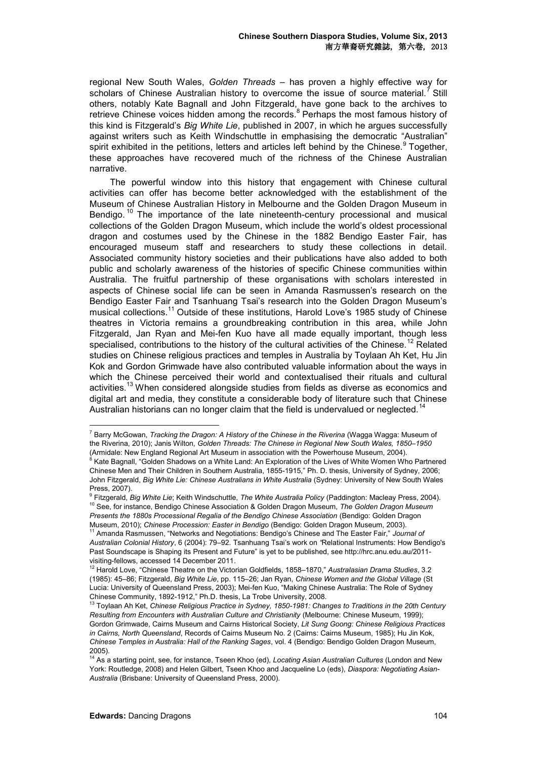regional New South Wales, *Golden Threads* – has proven a highly effective way for scholars of Chinese Australian history to overcome the issue of source material.<sup>7</sup> Still others, notably Kate Bagnall and John Fitzgerald, have gone back to the archives to retrieve Chinese voices hidden among the records.<sup>8</sup> Perhaps the most famous history of this kind is Fitzgerald's *Big White Lie*, published in 2007, in which he argues successfully against writers such as Keith Windschuttle in emphasising the democratic "Australian" spirit exhibited in the petitions, letters and articles left behind by the Chinese. <sup>9</sup> Together, these approaches have recovered much of the richness of the Chinese Australian narrative.

The powerful window into this history that engagement with Chinese cultural activities can offer has become better acknowledged with the establishment of the Museum of Chinese Australian History in Melbourne and the Golden Dragon Museum in Bendigo.<sup>10</sup> The importance of the late nineteenth-century processional and musical collections of the Golden Dragon Museum, which include the world's oldest processional dragon and costumes used by the Chinese in the 1882 Bendigo Easter Fair, has encouraged museum staff and researchers to study these collections in detail. Associated community history societies and their publications have also added to both public and scholarly awareness of the histories of specific Chinese communities within Australia. The fruitful partnership of these organisations with scholars interested in aspects of Chinese social life can be seen in Amanda Rasmussen's research on the Bendigo Easter Fair and Tsanhuang Tsai's research into the Golden Dragon Museum's musical collections.<sup>11</sup> Outside of these institutions, Harold Love's 1985 study of Chinese theatres in Victoria remains a groundbreaking contribution in this area, while John Fitzgerald, Jan Ryan and Mei-fen Kuo have all made equally important, though less specialised, contributions to the history of the cultural activities of the Chinese.<sup>12</sup> Related studies on Chinese religious practices and temples in Australia by Toylaan Ah Ket, Hu Jin Kok and Gordon Grimwade have also contributed valuable information about the ways in which the Chinese perceived their world and contextualised their rituals and cultural activities.<sup>13</sup> When considered alongside studies from fields as diverse as economics and digital art and media, they constitute a considerable body of literature such that Chinese Australian historians can no longer claim that the field is undervalued or neglected.<sup>14</sup>

Museum, 2010); *Chinese Procession: Easter in Bendigo* (Bendigo: Golden Dragon Museum, 2003).

 $\overline{a}$ 

<sup>7</sup> Barry McGowan, *Tracking the Dragon: A History of the Chinese in the Riverina* (Wagga Wagga: Museum of the Riverina, 2010); Janis Wilton, *Golden Threads: The Chinese in Regional New South Wales, 1850–1950* (Armidale: New England Regional Art Museum in association with the Powerhouse Museum, 2004). <sup>8</sup> Kate Bagnall, "Golden Shadows on a White Land: An Exploration of the Lives of White Women Who Partnered

Chinese Men and Their Children in Southern Australia, 1855-1915," Ph. D. thesis, University of Sydney, 2006; John Fitzgerald, *Big White Lie: Chinese Australians in White Australia* (Sydney: University of New South Wales Press, 2007).

<sup>9</sup> Fitzgerald, *Big White Lie*; Keith Windschuttle, *The White Australia Policy* (Paddington: Macleay Press, 2004). <sup>10</sup> See, for instance, Bendigo Chinese Association & Golden Dragon Museum, *The Golden Dragon Museum Presents the 1880s Processional Regalia of the Bendigo Chinese Association* (Bendigo: Golden Dragon

<sup>11</sup> Amanda Rasmussen, "Networks and Negotiations: Bendigo's Chinese and The Easter Fair," *Journal of Australian Colonial History*, 6 (2004): 79–92. Tsanhuang Tsai's work on *"*Relational Instruments: How Bendigo's Past Soundscape is Shaping its Present and Future" is yet to be published, see http://hrc.anu.edu.au/2011 visiting-fellows, accessed 14 December 2011.

<sup>12</sup> Harold Love, "Chinese Theatre on the Victorian Goldfields, 1858–1870," *Australasian Drama Studies*, 3.2 (1985): 45–86; Fitzgerald, *Big White Lie*, pp. 115–26; Jan Ryan, *Chinese Women and the Global Village* (St Lucia: University of Queensland Press, 2003); Mei-fen Kuo, "Making Chinese Australia: The Role of Sydney Chinese Community, 1892-1912," Ph.D. thesis, La Trobe University, 2008.

<sup>13</sup> Toylaan Ah Ket, *Chinese Religious Practice in Sydney, 1850-1981: Changes to Traditions in the 20th Century Resulting from Encounters with Australian Culture and Christianity* (Melbourne: Chinese Museum, 1999); Gordon Grimwade, Cairns Museum and Cairns Historical Society, *Lit Sung Goong: Chinese Religious Practices in Cairns, North Queensland*, Records of Cairns Museum No. 2 (Cairns: Cairns Museum, 1985); Hu Jin Kok, *Chinese Temples in Australia: Hall of the Ranking Sages*, vol. 4 (Bendigo: Bendigo Golden Dragon Museum, 2005).

<sup>14</sup> As a starting point, see, for instance, Tseen Khoo (ed), *Locating Asian Australian Cultures* (London and New York: Routledge, 2008) and Helen Gilbert, Tseen Khoo and Jacqueline Lo (eds), *Diaspora: Negotiating Asian-Australia* (Brisbane: University of Queensland Press, 2000).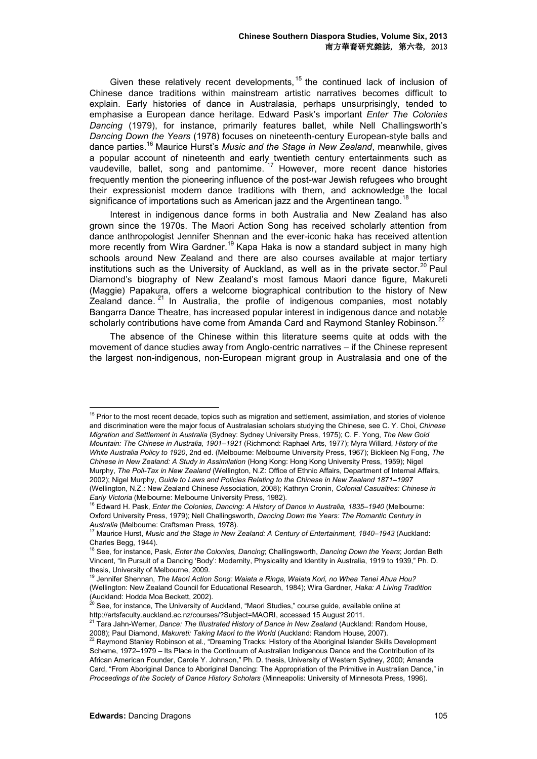Given these relatively recent developments,  $15$  the continued lack of inclusion of Chinese dance traditions within mainstream artistic narratives becomes difficult to explain. Early histories of dance in Australasia, perhaps unsurprisingly, tended to emphasise a European dance heritage. Edward Pask's important *Enter The Colonies Dancing* (1979), for instance, primarily features ballet, while Nell Challingsworth's *Dancing Down the Years* (1978) focuses on nineteenth-century European-style balls and dance parties.<sup>16</sup> Maurice Hurst's *Music and the Stage in New Zealand*, meanwhile, gives a popular account of nineteenth and early twentieth century entertainments such as vaudeville, ballet, song and pantomime. <sup>17</sup> However, more recent dance histories frequently mention the pioneering influence of the post-war Jewish refugees who brought their expressionist modern dance traditions with them, and acknowledge the local significance of importations such as American jazz and the Argentinean tango.<sup>18</sup>

Interest in indigenous dance forms in both Australia and New Zealand has also grown since the 1970s. The Maori Action Song has received scholarly attention from dance anthropologist Jennifer Shennan and the ever-iconic haka has received attention more recently from Wira Gardner.<sup>19</sup> Kapa Haka is now a standard subject in many high schools around New Zealand and there are also courses available at major tertiary institutions such as the University of Auckland, as well as in the private sector.<sup>20</sup> Paul Diamond's biography of New Zealand's most famous Maori dance figure, Makureti (Maggie) Papakura, offers a welcome biographical contribution to the history of New  $Z$ ealand dance.  $21$  In Australia, the profile of indigenous companies, most notably Bangarra Dance Theatre, has increased popular interest in indigenous dance and notable scholarly contributions have come from Amanda Card and Raymond Stanley Robinson.<sup>22</sup>

The absence of the Chinese within this literature seems quite at odds with the movement of dance studies away from Anglo-centric narratives – if the Chinese represent the largest non-indigenous, non-European migrant group in Australasia and one of the

<sup>15</sup> Prior to the most recent decade, topics such as migration and settlement, assimilation, and stories of violence and discrimination were the major focus of Australasian scholars studying the Chinese, see C. Y. Choi, *Chinese Migration and Settlement in Australia* (Sydney: Sydney University Press, 1975); C. F. Yong, *The New Gold Mountain: The Chinese in Australia, 1901–1921* (Richmond: Raphael Arts, 1977); Myra Willard, *History of the White Australia Policy to 1920*, 2nd ed. (Melbourne: Melbourne University Press, 1967); Bickleen Ng Fong, *The Chinese in New Zealand: A Study in Assimilation* (Hong Kong: Hong Kong University Press, 1959); Nigel Murphy, *The Poll-Tax in New Zealand* (Wellington, N.Z: Office of Ethnic Affairs, Department of Internal Affairs, 2002); Nigel Murphy, *Guide to Laws and Policies Relating to the Chinese in New Zealand 1871–1997* (Wellington, N.Z.: New Zealand Chinese Association, 2008); Kathryn Cronin, *Colonial Casualties: Chinese in Early Victoria* (Melbourne: Melbourne University Press, 1982).

 $\overline{a}$ 

<sup>16</sup> Edward H. Pask, *Enter the Colonies, Dancing: A History of Dance in Australia, 1835–1940* (Melbourne: Oxford University Press, 1979); Nell Challingsworth, *Dancing Down the Years: The Romantic Century in Australia* (Melbourne: Craftsman Press, 1978).

<sup>17</sup> Maurice Hurst, *Music and the Stage in New Zealand: A Century of Entertainment, 1840–1943* (Auckland: Charles Begg, 1944).

<sup>18</sup> See, for instance, Pask, *Enter the Colonies, Dancing*; Challingsworth, *Dancing Down the Years*; Jordan Beth Vincent, "In Pursuit of a Dancing 'Body': Modernity, Physicality and Identity in Australia, 1919 to 1939," Ph. D. thesis, University of Melbourne, 2009.

<sup>19</sup> Jennifer Shennan, *The Maori Action Song: Waiata a Ringa, Waiata Kori, no Whea Tenei Ahua Hou?* (Wellington: New Zealand Council for Educational Research, 1984); Wira Gardner, *Haka: A Living Tradition*  (Auckland: Hodda Moa Beckett, 2002).

 $^{20}$  See, for instance, The University of Auckland, "Maori Studies," course guide, available online at http://artsfaculty.auckland.ac.nz/courses/?Subject=MAORI, accessed 15 August 2011.

<sup>&</sup>lt;sup>21</sup> Tara Jahn-Werner, *Dance: The Illustrated History of Dance in New Zealand (Auckland: Random House,* 2008); Paul Diamond, *Makureti: Taking Maori to the World* (Auckland: Random House, 2007).

 $^{22}$  Raymond Stanley Robinson et al., "Dreaming Tracks: History of the Aboriginal Islander Skills Development Scheme, 1972–1979 – Its Place in the Continuum of Australian Indigenous Dance and the Contribution of its African American Founder, Carole Y. Johnson," Ph. D. thesis, University of Western Sydney, 2000; Amanda Card, "From Aboriginal Dance to Aboriginal Dancing: The Appropriation of the Primitive in Australian Dance," in *Proceedings of the Society of Dance History Scholars* (Minneapolis: University of Minnesota Press, 1996).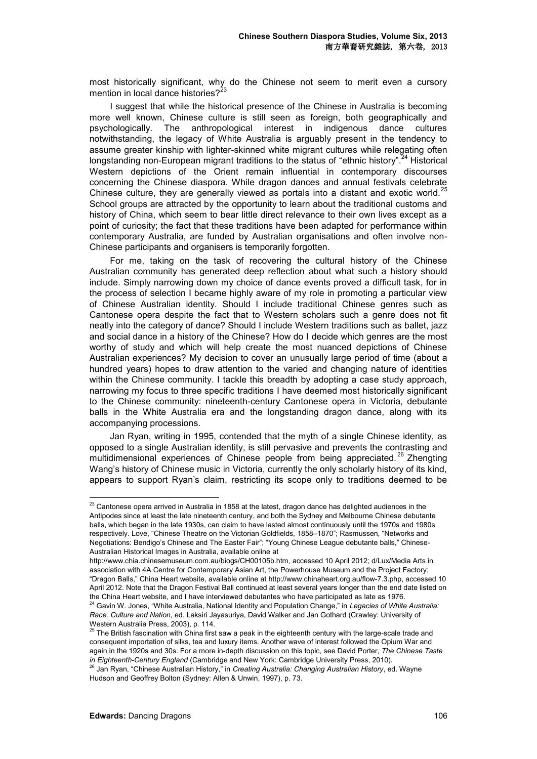most historically significant, why do the Chinese not seem to merit even a cursory mention in local dance histories? $2^{23}$ 

I suggest that while the historical presence of the Chinese in Australia is becoming more well known, Chinese culture is still seen as foreign, both geographically and psychologically. The anthropological interest in indigenous dance cultures notwithstanding, the legacy of White Australia is arguably present in the tendency to assume greater kinship with lighter-skinned white migrant cultures while relegating often longstanding non-European migrant traditions to the status of "ethnic history".<sup>24</sup> Historical Western depictions of the Orient remain influential in contemporary discourses concerning the Chinese diaspora. While dragon dances and annual festivals celebrate Chinese culture, they are generally viewed as portals into a distant and exotic world.<sup>25</sup> School groups are attracted by the opportunity to learn about the traditional customs and history of China, which seem to bear little direct relevance to their own lives except as a point of curiosity; the fact that these traditions have been adapted for performance within contemporary Australia, are funded by Australian organisations and often involve non-Chinese participants and organisers is temporarily forgotten.

For me, taking on the task of recovering the cultural history of the Chinese Australian community has generated deep reflection about what such a history should include. Simply narrowing down my choice of dance events proved a difficult task, for in the process of selection I became highly aware of my role in promoting a particular view of Chinese Australian identity. Should I include traditional Chinese genres such as Cantonese opera despite the fact that to Western scholars such a genre does not fit neatly into the category of dance? Should I include Western traditions such as ballet, jazz and social dance in a history of the Chinese? How do I decide which genres are the most worthy of study and which will help create the most nuanced depictions of Chinese Australian experiences? My decision to cover an unusually large period of time (about a hundred years) hopes to draw attention to the varied and changing nature of identities within the Chinese community. I tackle this breadth by adopting a case study approach, narrowing my focus to three specific traditions I have deemed most historically significant to the Chinese community: nineteenth-century Cantonese opera in Victoria, debutante balls in the White Australia era and the longstanding dragon dance, along with its accompanying processions.

Jan Ryan, writing in 1995, contended that the myth of a single Chinese identity, as opposed to a single Australian identity, is still pervasive and prevents the contrasting and multidimensional experiences of Chinese people from being appreciated.<sup>26</sup> Zhengting Wang's history of Chinese music in Victoria, currently the only scholarly history of its kind, appears to support Ryan's claim, restricting its scope only to traditions deemed to be

 $23$  Cantonese opera arrived in Australia in 1858 at the latest, dragon dance has delighted audiences in the Antipodes since at least the late nineteenth century, and both the Sydney and Melbourne Chinese debutante balls, which began in the late 1930s, can claim to have lasted almost continuously until the 1970s and 1980s respectively. Love, "Chinese Theatre on the Victorian Goldfields, 1858–1870"; Rasmussen, "Networks and Negotiations: Bendigo's Chinese and The Easter Fair"; "Young Chinese League debutante balls," Chinese-Australian Historical Images in Australia, available online at

http://www.chia.chinesemuseum.com.au/biogs/CH00105b.htm, accessed 10 April 2012; d/Lux/Media Arts in association with 4A Centre for Contemporary Asian Art, the Powerhouse Museum and the Project Factory; "Dragon Balls," China Heart website, available online at http://www.chinaheart.org.au/flow-7.3.php, accessed 10 April 2012. Note that the Dragon Festival Ball continued at least several years longer than the end date listed on the China Heart website, and I have interviewed debutantes who have participated as late as 1976.

<sup>24</sup> Gavin W. Jones, "White Australia, National Identity and Population Change," in *Legacies of White Australia: Race, Culture and Nation*, ed. Laksiri Jayasuriya, David Walker and Jan Gothard (Crawley: University of Western Australia Press, 2003), p. 114.

 $^{25}$  The British fascination with China first saw a peak in the eighteenth century with the large-scale trade and consequent importation of silks, tea and luxury items. Another wave of interest followed the Opium War and again in the 1920s and 30s. For a more in-depth discussion on this topic, see David Porter, *The Chinese Taste in Eighteenth-Century England* (Cambridge and New York: Cambridge University Press, 2010).

<sup>&</sup>lt;sup>3</sup> Jan Ryan, "Chinese Australian History," in *Creating Australia: Changing Australian History*, ed. Wayne Hudson and Geoffrey Bolton (Sydney: Allen & Unwin, 1997), p. 73.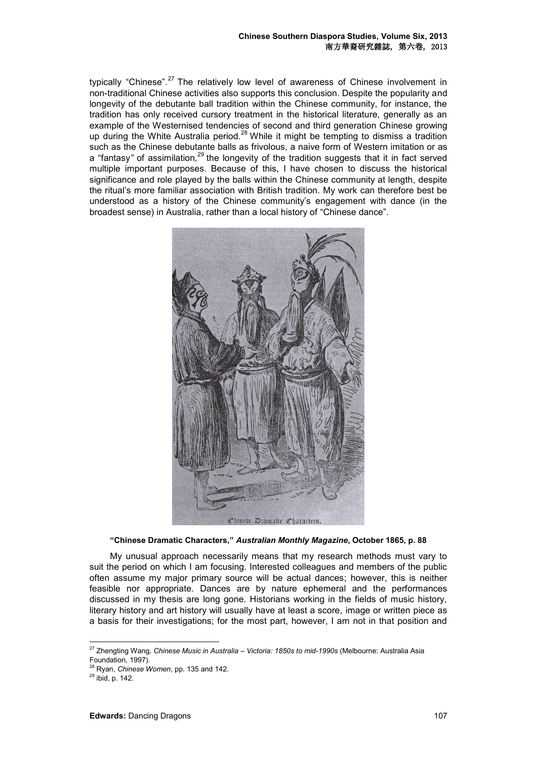typically "Chinese".<sup>27</sup> The relatively low level of awareness of Chinese involvement in non-traditional Chinese activities also supports this conclusion. Despite the popularity and longevity of the debutante ball tradition within the Chinese community, for instance, the tradition has only received cursory treatment in the historical literature, generally as an example of the Westernised tendencies of second and third generation Chinese growing up during the White Australia period.<sup>28</sup> While it might be tempting to dismiss a tradition such as the Chinese debutante balls as frivolous, a naive form of Western imitation or as a "fantasy*"* of assimilation*,* <sup>29</sup> the longevity of the tradition suggests that it in fact served multiple important purposes. Because of this, I have chosen to discuss the historical significance and role played by the balls within the Chinese community at length, despite the ritual's more familiar association with British tradition. My work can therefore best be understood as a history of the Chinese community's engagement with dance (in the broadest sense) in Australia, rather than a local history of "Chinese dance".



## **"Chinese Dramatic Characters,"** *Australian Monthly Magazine***, October 1865, p. 88**

My unusual approach necessarily means that my research methods must vary to suit the period on which I am focusing. Interested colleagues and members of the public often assume my major primary source will be actual dances; however, this is neither feasible nor appropriate. Dances are by nature ephemeral and the performances discussed in my thesis are long gone. Historians working in the fields of music history, literary history and art history will usually have at least a score, image or written piece as a basis for their investigations; for the most part, however, I am not in that position and

<sup>27</sup> Zhengting Wang, *Chinese Music in Australia – Victoria: 1850s to mid-1990s* (Melbourne: Australia Asia Foundation, 1997).

<sup>28</sup> Ryan, *Chinese Women*, pp. 135 and 142.

 $29$  ibid, p. 142.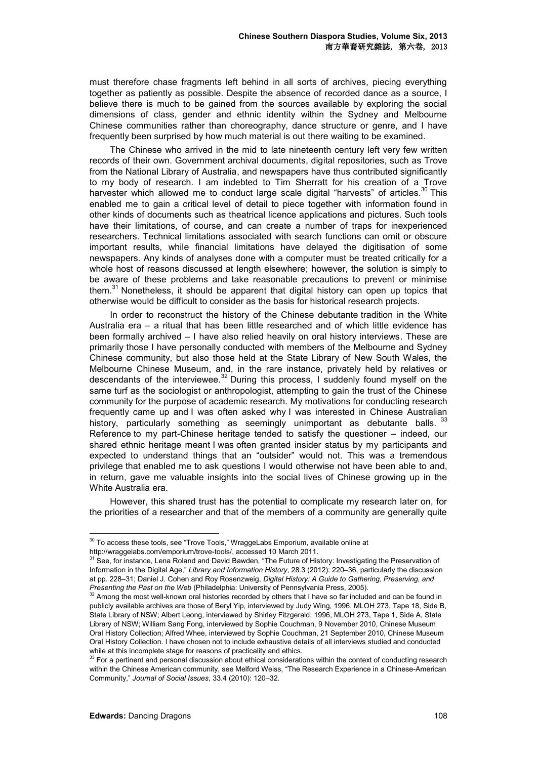must therefore chase fragments left behind in all sorts of archives, piecing everything together as patiently as possible. Despite the absence of recorded dance as a source, I believe there is much to be gained from the sources available by exploring the social dimensions of class, gender and ethnic identity within the Sydney and Melbourne Chinese communities rather than choreography, dance structure or genre, and I have frequently been surprised by how much material is out there waiting to be examined.

The Chinese who arrived in the mid to late nineteenth century left very few written records of their own. Government archival documents, digital repositories, such as Trove from the National Library of Australia, and newspapers have thus contributed significantly to my body of research. I am indebted to Tim Sherratt for his creation of a Trove harvester which allowed me to conduct large scale digital "harvests" of articles.<sup>30</sup> This enabled me to gain a critical level of detail to piece together with information found in other kinds of documents such as theatrical licence applications and pictures. Such tools have their limitations, of course, and can create a number of traps for inexperienced researchers. Technical limitations associated with search functions can omit or obscure important results, while financial limitations have delayed the digitisation of some newspapers. Any kinds of analyses done with a computer must be treated critically for a whole host of reasons discussed at length elsewhere; however, the solution is simply to be aware of these problems and take reasonable precautions to prevent or minimise them*.* <sup>31</sup> Nonetheless, it should be apparent that digital history can open up topics that otherwise would be difficult to consider as the basis for historical research projects.

In order to reconstruct the history of the Chinese debutante tradition in the White Australia era – a ritual that has been little researched and of which little evidence has been formally archived – I have also relied heavily on oral history interviews. These are primarily those I have personally conducted with members of the Melbourne and Sydney Chinese community, but also those held at the State Library of New South Wales, the Melbourne Chinese Museum, and, in the rare instance, privately held by relatives or descendants of the interviewee.<sup>32</sup> During this process, I suddenly found myself on the same turf as the sociologist or anthropologist, attempting to gain the trust of the Chinese community for the purpose of academic research. My motivations for conducting research frequently came up and I was often asked why I was interested in Chinese Australian history, particularly something as seemingly unimportant as debutante balls. 33 Reference to my part-Chinese heritage tended to satisfy the questioner – indeed, our shared ethnic heritage meant I was often granted insider status by my participants and expected to understand things that an "outsider" would not. This was a tremendous privilege that enabled me to ask questions I would otherwise not have been able to and, in return, gave me valuable insights into the social lives of Chinese growing up in the White Australia era.

However, this shared trust has the potential to complicate my research later on, for the priorities of a researcher and that of the members of a community are generally quite

<sup>&</sup>lt;sup>30</sup> To access these tools, see "Trove Tools," WraggeLabs Emporium, available online at

http://wraggelabs.com/emporium/trove-tools/, accessed 10 March 2011.

<sup>&</sup>lt;sup>31</sup> See, for instance, Lena Roland and David Bawden, "The Future of History: Investigating the Preservation of Information in the Digital Age," *Library and Information History*, 28.3 (2012): 220–36, particularly the discussion at pp. 228–31; Daniel J. Cohen and Roy Rosenzweig, *Digital History: A Guide to Gathering, Preserving, and Presenting the Past on the Web* (Philadelphia: University of Pennsylvania Press, 2005).

<sup>&</sup>lt;sup>32</sup> Among the most well-known oral histories recorded by others that I have so far included and can be found in publicly available archives are those of Beryl Yip, interviewed by Judy Wing, 1996, MLOH 273, Tape 18, Side B, State Library of NSW; Albert Leong, interviewed by Shirley Fitzgerald, 1996, MLOH 273, Tape 1, Side A, State Library of NSW; William Sang Fong, interviewed by Sophie Couchman, 9 November 2010, Chinese Museum Oral History Collection; Alfred Whee, interviewed by Sophie Couchman, 21 September 2010, Chinese Museum Oral History Collection. I have chosen not to include exhaustive details of all interviews studied and conducted while at this incomplete stage for reasons of practicality and ethics.

<sup>33</sup> For a pertinent and personal discussion about ethical considerations within the context of conducting research within the Chinese American community, see Melford Weiss, "The Research Experience in a Chinese-American Community," *Journal of Social Issues*, 33.4 (2010): 120–32.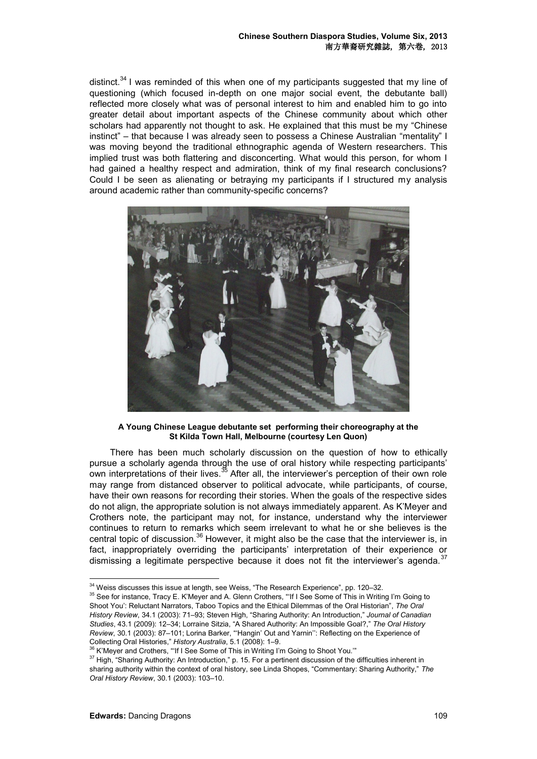distinct. $34$  I was reminded of this when one of my participants suggested that my line of questioning (which focused in-depth on one major social event, the debutante ball) reflected more closely what was of personal interest to him and enabled him to go into greater detail about important aspects of the Chinese community about which other scholars had apparently not thought to ask. He explained that this must be my "Chinese instinct" – that because I was already seen to possess a Chinese Australian "mentality" I was moving beyond the traditional ethnographic agenda of Western researchers. This implied trust was both flattering and disconcerting. What would this person, for whom I had gained a healthy respect and admiration, think of my final research conclusions? Could I be seen as alienating or betraying my participants if I structured my analysis around academic rather than community-specific concerns?



**A Young Chinese League debutante set performing their choreography at the St Kilda Town Hall, Melbourne (courtesy Len Quon)**

There has been much scholarly discussion on the question of how to ethically pursue a scholarly agenda through the use of oral history while respecting participants' own interpretations of their lives.<sup>35</sup> After all, the interviewer's perception of their own role may range from distanced observer to political advocate, while participants, of course, have their own reasons for recording their stories. When the goals of the respective sides do not align, the appropriate solution is not always immediately apparent. As K'Meyer and Crothers note, the participant may not, for instance, understand why the interviewer continues to return to remarks which seem irrelevant to what he or she believes is the central topic of discussion.<sup>36</sup> However, it might also be the case that the interviewer is, in fact, inappropriately overriding the participants' interpretation of their experience or dismissing a legitimate perspective because it does not fit the interviewer's agenda. $37$ 

 $34$  Weiss discusses this issue at length, see Weiss, "The Research Experience", pp. 120–32.

<sup>&</sup>lt;sup>35</sup> See for instance, Tracy E. K'Meyer and A. Glenn Crothers, "If I See Some of This in Writing I'm Going to Shoot You': Reluctant Narrators, Taboo Topics and the Ethical Dilemmas of the Oral Historian", *The Oral History Review*, 34.1 (2003): 71–93; Steven High, "Sharing Authority: An Introduction," *Journal of Canadian Studies*, 43.1 (2009): 12–34; Lorraine Sitzia, "A Shared Authority: An Impossible Goal?," *The Oral History Review*, 30.1 (2003): 87–101; Lorina Barker, "'Hangin' Out and Yarnin'': Reflecting on the Experience of Collecting Oral Histories," *History Australia*, 5.1 (2008): 1–9.

<sup>&</sup>lt;sup>36</sup> K'Mever and Crothers, "'If I See Some of This in Writing I'm Going to Shoot You."

<sup>&</sup>lt;sup>37</sup> High, "Sharing Authority: An Introduction," p. 15. For a pertinent discussion of the difficulties inherent in sharing authority within the context of oral history, see Linda Shopes, "Commentary: Sharing Authority," *The Oral History Review*, 30.1 (2003): 103–10.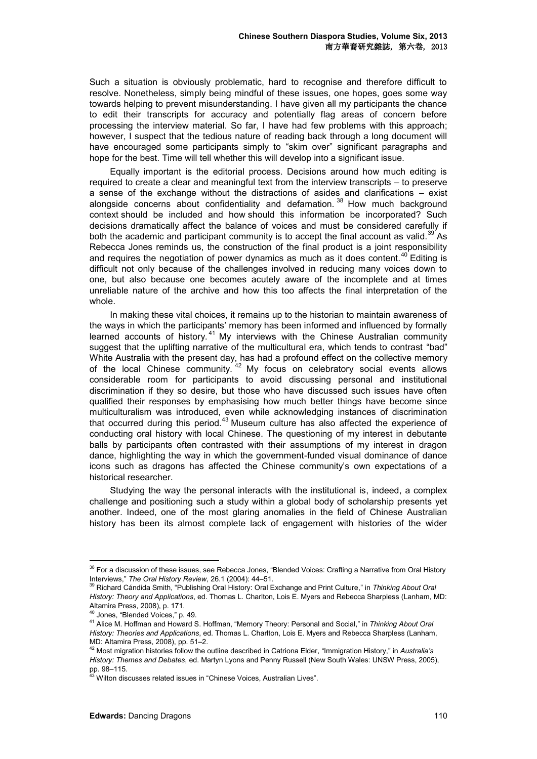Such a situation is obviously problematic, hard to recognise and therefore difficult to resolve. Nonetheless, simply being mindful of these issues, one hopes, goes some way towards helping to prevent misunderstanding. I have given all my participants the chance to edit their transcripts for accuracy and potentially flag areas of concern before processing the interview material. So far, I have had few problems with this approach; however, I suspect that the tedious nature of reading back through a long document will have encouraged some participants simply to "skim over" significant paragraphs and hope for the best. Time will tell whether this will develop into a significant issue.

Equally important is the editorial process. Decisions around how much editing is required to create a clear and meaningful text from the interview transcripts – to preserve a sense of the exchange without the distractions of asides and clarifications – exist alongside concerns about confidentiality and defamation.  $38$  How much background context should be included and how should this information be incorporated? Such decisions dramatically affect the balance of voices and must be considered carefully if both the academic and participant community is to accept the final account as valid.<sup>39</sup> As Rebecca Jones reminds us, the construction of the final product is a joint responsibility and requires the negotiation of power dynamics as much as it does content.<sup>40</sup> Editing is difficult not only because of the challenges involved in reducing many voices down to one, but also because one becomes acutely aware of the incomplete and at times unreliable nature of the archive and how this too affects the final interpretation of the whole.

In making these vital choices, it remains up to the historian to maintain awareness of the ways in which the participants' memory has been informed and influenced by formally learned accounts of history.<sup>41</sup> My interviews with the Chinese Australian community suggest that the uplifting narrative of the multicultural era, which tends to contrast "bad" White Australia with the present day, has had a profound effect on the collective memory of the local Chinese community.<sup>42</sup> My focus on celebratory social events allows considerable room for participants to avoid discussing personal and institutional discrimination if they so desire, but those who have discussed such issues have often qualified their responses by emphasising how much better things have become since multiculturalism was introduced, even while acknowledging instances of discrimination that occurred during this period. $43$  Museum culture has also affected the experience of conducting oral history with local Chinese. The questioning of my interest in debutante balls by participants often contrasted with their assumptions of my interest in dragon dance, highlighting the way in which the government-funded visual dominance of dance icons such as dragons has affected the Chinese community's own expectations of a historical researcher.

Studying the way the personal interacts with the institutional is, indeed, a complex challenge and positioning such a study within a global body of scholarship presents yet another. Indeed, one of the most glaring anomalies in the field of Chinese Australian history has been its almost complete lack of engagement with histories of the wider

<sup>&</sup>lt;sup>38</sup> For a discussion of these issues, see Rebecca Jones, "Blended Voices: Crafting a Narrative from Oral History Interviews," *The Oral History Review*, 26.1 (2004): 44–51.

<sup>39</sup> Richard Cándida Smith, "Publishing Oral History: Oral Exchange and Print Culture," in *Thinking About Oral History: Theory and Applications*, ed. Thomas L. Charlton, Lois E. Myers and Rebecca Sharpless (Lanham, MD: Altamira Press, 2008), p. 171.

<sup>40</sup> Jones, "Blended Voices," p. 49.

<sup>41</sup> Alice M. Hoffman and Howard S. Hoffman, "Memory Theory: Personal and Social," in *Thinking About Oral History: Theories and Applications*, ed. Thomas L. Charlton, Lois E. Myers and Rebecca Sharpless (Lanham, MD: Altamira Press, 2008), pp. 51–2.

<sup>42</sup> Most migration histories follow the outline described in Catriona Elder, "Immigration History," in *Australia's History: Themes and Debates*, ed. Martyn Lyons and Penny Russell (New South Wales: UNSW Press, 2005), pp. 98–115.

<sup>&</sup>lt;sup>43</sup> Wilton discusses related issues in "Chinese Voices, Australian Lives".